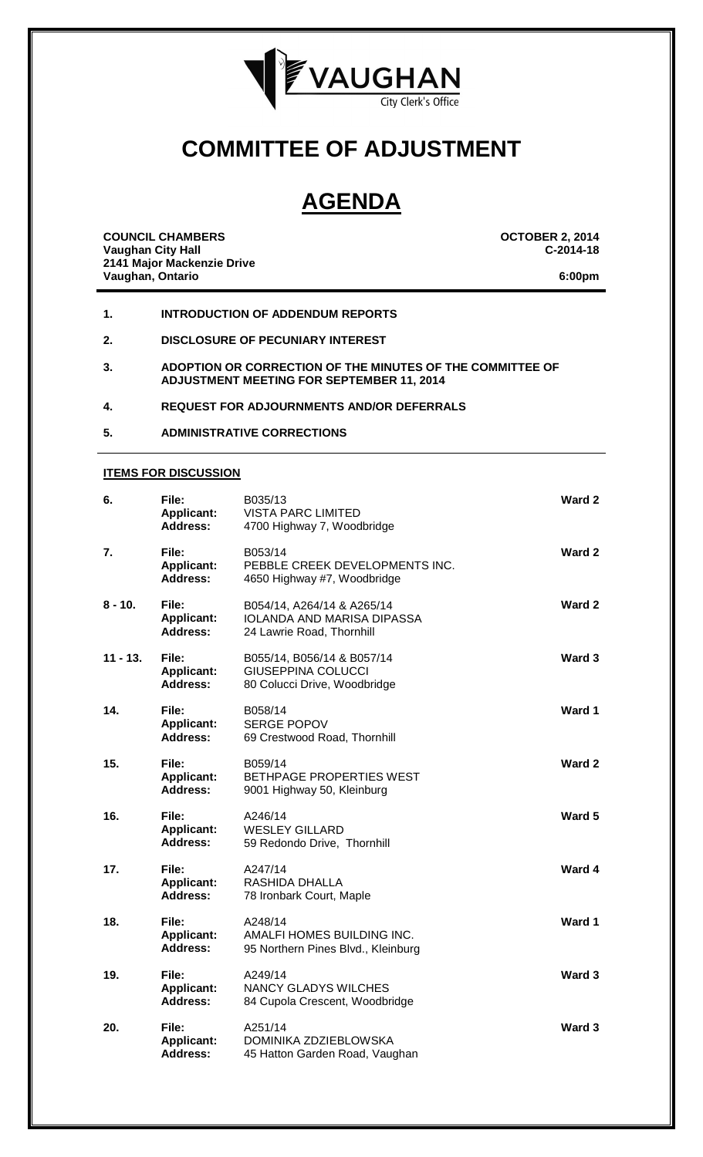

# **COMMITTEE OF ADJUSTMENT**

# **AGENDA**

**COUNCIL CHAMBERS OCTOBER 2, 2014**<br> **Vaughan City Hall Vaughan City Hall 2141 Major Mackenzie Drive Vaughan, Ontario 6:00pm**

- **1. INTRODUCTION OF ADDENDUM REPORTS**
- **2. DISCLOSURE OF PECUNIARY INTEREST**
- **3. ADOPTION OR CORRECTION OF THE MINUTES OF THE COMMITTEE OF ADJUSTMENT MEETING FOR SEPTEMBER 11, 2014**

**4. REQUEST FOR ADJOURNMENTS AND/OR DEFERRALS**

**5. ADMINISTRATIVE CORRECTIONS**

#### **ITEMS FOR DISCUSSION**

| 6.         | File:<br><b>Applicant:</b><br><b>Address:</b> | B035/13<br><b>VISTA PARC LIMITED</b><br>4700 Highway 7, Woodbridge                           | Ward 2 |
|------------|-----------------------------------------------|----------------------------------------------------------------------------------------------|--------|
| 7.         | File:<br><b>Applicant:</b><br><b>Address:</b> | B053/14<br>PEBBLE CREEK DEVELOPMENTS INC.<br>4650 Highway #7, Woodbridge                     | Ward 2 |
| $8 - 10.$  | File:<br><b>Applicant:</b><br><b>Address:</b> | B054/14, A264/14 & A265/14<br><b>IOLANDA AND MARISA DIPASSA</b><br>24 Lawrie Road, Thornhill | Ward 2 |
| $11 - 13.$ | File:<br><b>Applicant:</b><br><b>Address:</b> | B055/14, B056/14 & B057/14<br><b>GIUSEPPINA COLUCCI</b><br>80 Colucci Drive, Woodbridge      | Ward 3 |
| 14.        | File:<br><b>Applicant:</b><br><b>Address:</b> | B058/14<br><b>SERGE POPOV</b><br>69 Crestwood Road, Thornhill                                | Ward 1 |
| 15.        | File:<br>Applicant:<br>Address:               | B059/14<br>BETHPAGE PROPERTIES WEST<br>9001 Highway 50, Kleinburg                            | Ward 2 |
| 16.        | File:<br><b>Applicant:</b><br><b>Address:</b> | A246/14<br><b>WESLEY GILLARD</b><br>59 Redondo Drive, Thornhill                              | Ward 5 |
| 17.        | File:<br><b>Applicant:</b><br>Address:        | A247/14<br>RASHIDA DHALLA<br>78 Ironbark Court, Maple                                        | Ward 4 |
| 18.        | File:<br><b>Applicant:</b><br><b>Address:</b> | A248/14<br>AMALFI HOMES BUILDING INC.<br>95 Northern Pines Blvd., Kleinburg                  | Ward 1 |
| 19.        | File:<br><b>Applicant:</b><br>Address:        | A249/14<br><b>NANCY GLADYS WILCHES</b><br>84 Cupola Crescent, Woodbridge                     | Ward 3 |
| 20.        | File:<br><b>Applicant:</b><br>Address:        | A251/14<br>DOMINIKA ZDZIEBLOWSKA<br>45 Hatton Garden Road, Vaughan                           | Ward 3 |